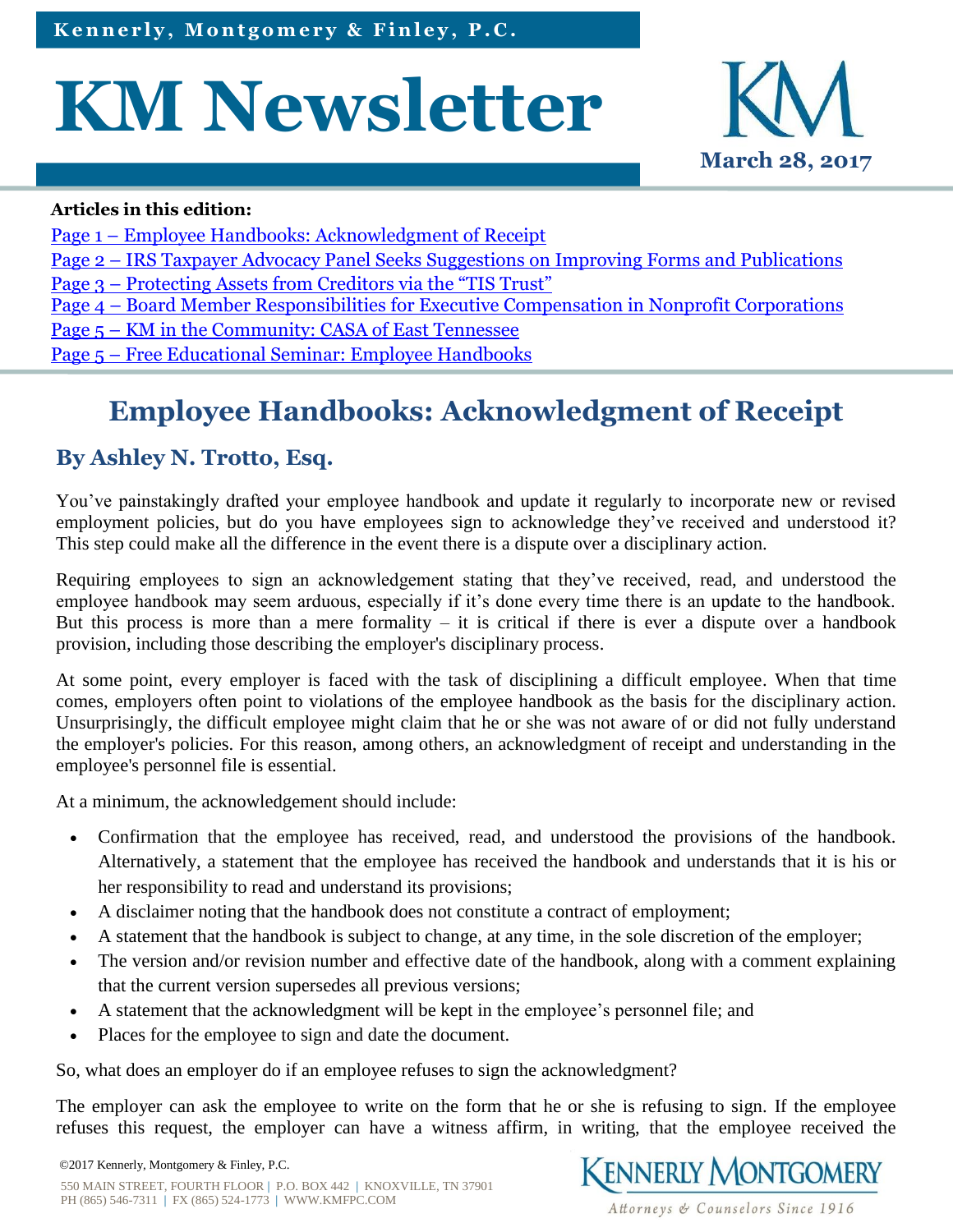# **KM Newsletter**



#### **Articles in this edition:**

- Page 1 Employee Handbooks: Acknowledgment of Receipt
- Page 2 [IRS Taxpayer Advocacy Panel Seeks Suggestions on Improving Forms and Publications](#page-1-0)
- Page 3 [Protecting Assets from Creditors via the "TIS Trust"](#page-2-0)
- Page 4 [Board Member Responsibilities for Executive Compensation in Nonprofit Corporations](#page-3-0)
- Page 5 [KM in the Community: CASA of East Tennessee](#page-4-0)
- Page 5 [Free Educational Seminar: Employee Handbooks](#page-4-0)

# **Employee Handbooks: Acknowledgment of Receipt**

#### **By Ashley N. Trotto, Esq.**

You've painstakingly drafted your employee handbook and update it regularly to incorporate new or revised employment policies, but do you have employees sign to acknowledge they've received and understood it? This step could make all the difference in the event there is a dispute over a disciplinary action.

Requiring employees to sign an acknowledgement stating that they've received, read, and understood the employee handbook may seem arduous, especially if it's done every time there is an update to the handbook. But this process is more than a mere formality – it is critical if there is ever a dispute over a handbook provision, including those describing the employer's disciplinary process.

At some point, every employer is faced with the task of disciplining a difficult employee. When that time comes, employers often point to violations of the employee handbook as the basis for the disciplinary action. Unsurprisingly, the difficult employee might claim that he or she was not aware of or did not fully understand the employer's policies. For this reason, among others, an acknowledgment of receipt and understanding in the employee's personnel file is essential.

At a minimum, the acknowledgement should include:

- Confirmation that the employee has received, read, and understood the provisions of the handbook. Alternatively, a statement that the employee has received the handbook and understands that it is his or her responsibility to read and understand its provisions;
- A disclaimer noting that the handbook does not constitute a contract of employment;
- A statement that the handbook is subject to change, at any time, in the sole discretion of the employer;
- The version and/or revision number and effective date of the handbook, along with a comment explaining that the current version supersedes all previous versions;
- A statement that the acknowledgment will be kept in the employee's personnel file; and
- Places for the employee to sign and date the document.

So, what does an employer do if an employee refuses to sign the acknowledgment?

The employer can ask the employee to write on the form that he or she is refusing to sign. If the employee refuses this request, the employer can have a witness affirm, in writing, that the employee received the

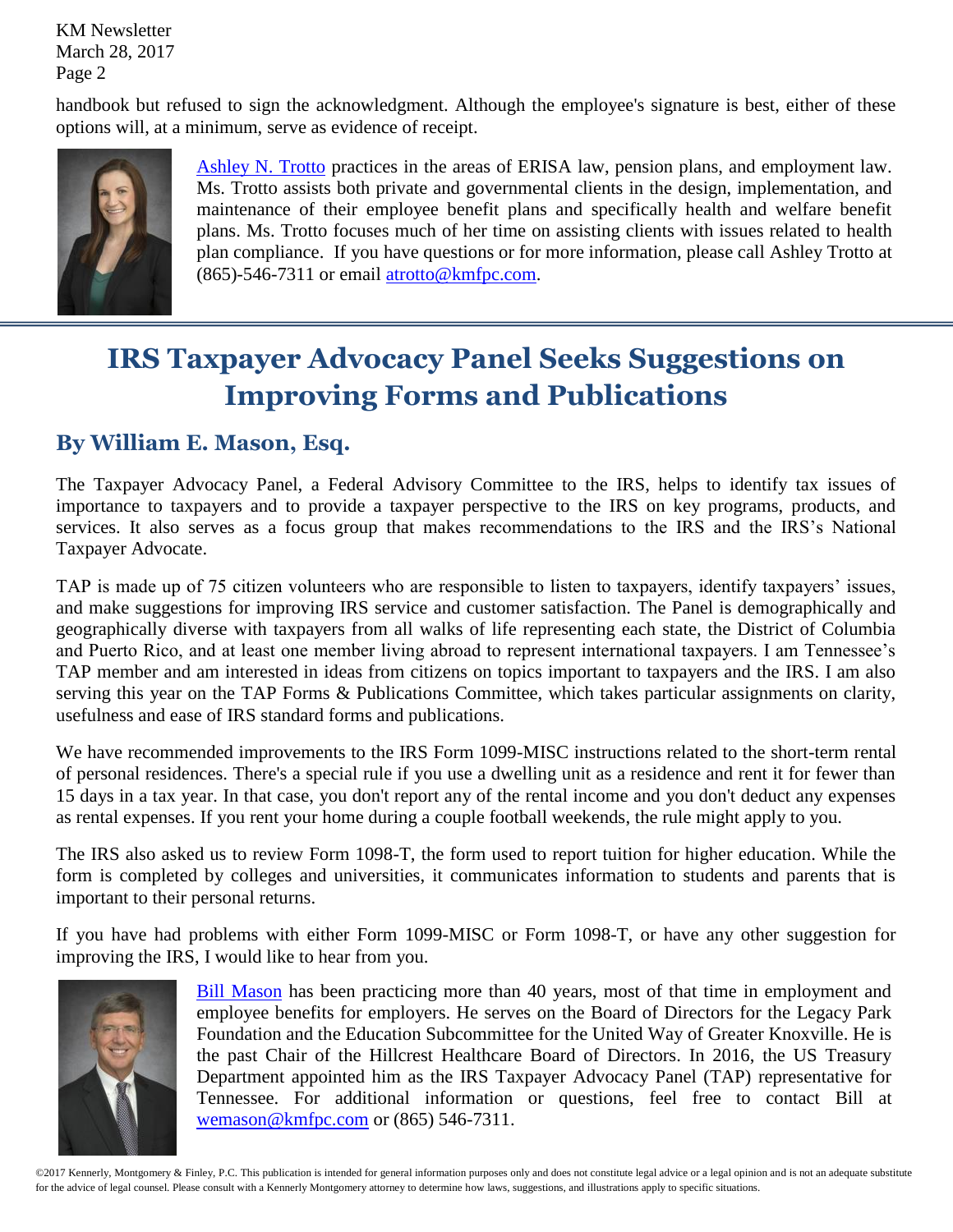<span id="page-1-0"></span>KM Newsletter March 28, 2017 Page 2

handbook but refused to sign the acknowledgment. Although the employee's signature is best, either of these options will, at a minimum, serve as evidence of receipt.



[Ashley N. Trotto](http://www.kmfpc.com/attorneys/ashley_n_trotto.aspx) practices in the areas of ERISA law, pension plans, and employment law. Ms. Trotto assists both private and governmental clients in the design, implementation, and maintenance of their employee benefit plans and specifically health and welfare benefit plans. Ms. Trotto focuses much of her time on assisting clients with issues related to health plan compliance. If you have questions or for more information, please call Ashley Trotto at (865)-546-7311 or email [atrotto@kmfpc.com.](mailto:atrotto@kmfpc.com)

## **IRS Taxpayer Advocacy Panel Seeks Suggestions on Improving Forms and Publications**

#### **By William E. Mason, Esq.**

The Taxpayer Advocacy Panel, a Federal Advisory Committee to the IRS, helps to identify tax issues of importance to taxpayers and to provide a taxpayer perspective to the IRS on key programs, products, and services. It also serves as a focus group that makes recommendations to the IRS and the IRS's National Taxpayer Advocate.

TAP is made up of 75 citizen volunteers who are responsible to listen to taxpayers, identify taxpayers' issues, and make suggestions for improving IRS service and customer satisfaction. The Panel is demographically and geographically diverse with taxpayers from all walks of life representing each state, the District of Columbia and Puerto Rico, and at least one member living abroad to represent international taxpayers. I am Tennessee's TAP member and am interested in ideas from citizens on topics important to taxpayers and the IRS. I am also serving this year on the TAP Forms & Publications Committee, which takes particular assignments on clarity, usefulness and ease of IRS standard forms and publications.

We have recommended improvements to the IRS Form 1099-MISC instructions related to the short-term rental of personal residences. There's a special rule if you use a dwelling unit as a residence and rent it for fewer than 15 days in a tax year. In that case, you don't report any of the rental income and you don't deduct any expenses as rental expenses. If you rent your home during a couple football weekends, the rule might apply to you.

The IRS also asked us to review Form 1098-T, the form used to report tuition for higher education. While the form is completed by colleges and universities, it communicates information to students and parents that is important to their personal returns.

If you have had problems with either Form 1099-MISC or Form 1098-T, or have any other suggestion for improving the IRS, I would like to hear from you.



[Bill Mason](http://www.kmfpc.com/attorneys/bill_mason.aspx) has been practicing more than 40 years, most of that time in employment and employee benefits for employers. He serves on the Board of Directors for the Legacy Park Foundation and the Education Subcommittee for the United Way of Greater Knoxville. He is the past Chair of the Hillcrest Healthcare Board of Directors. In 2016, the US Treasury Department appointed him as the IRS Taxpayer Advocacy Panel (TAP) representative for Tennessee. For additional information or questions, feel free to contact Bill at [wemason@kmfpc.com](mailto:wemason@kmfpc.com) or (865) 546-7311.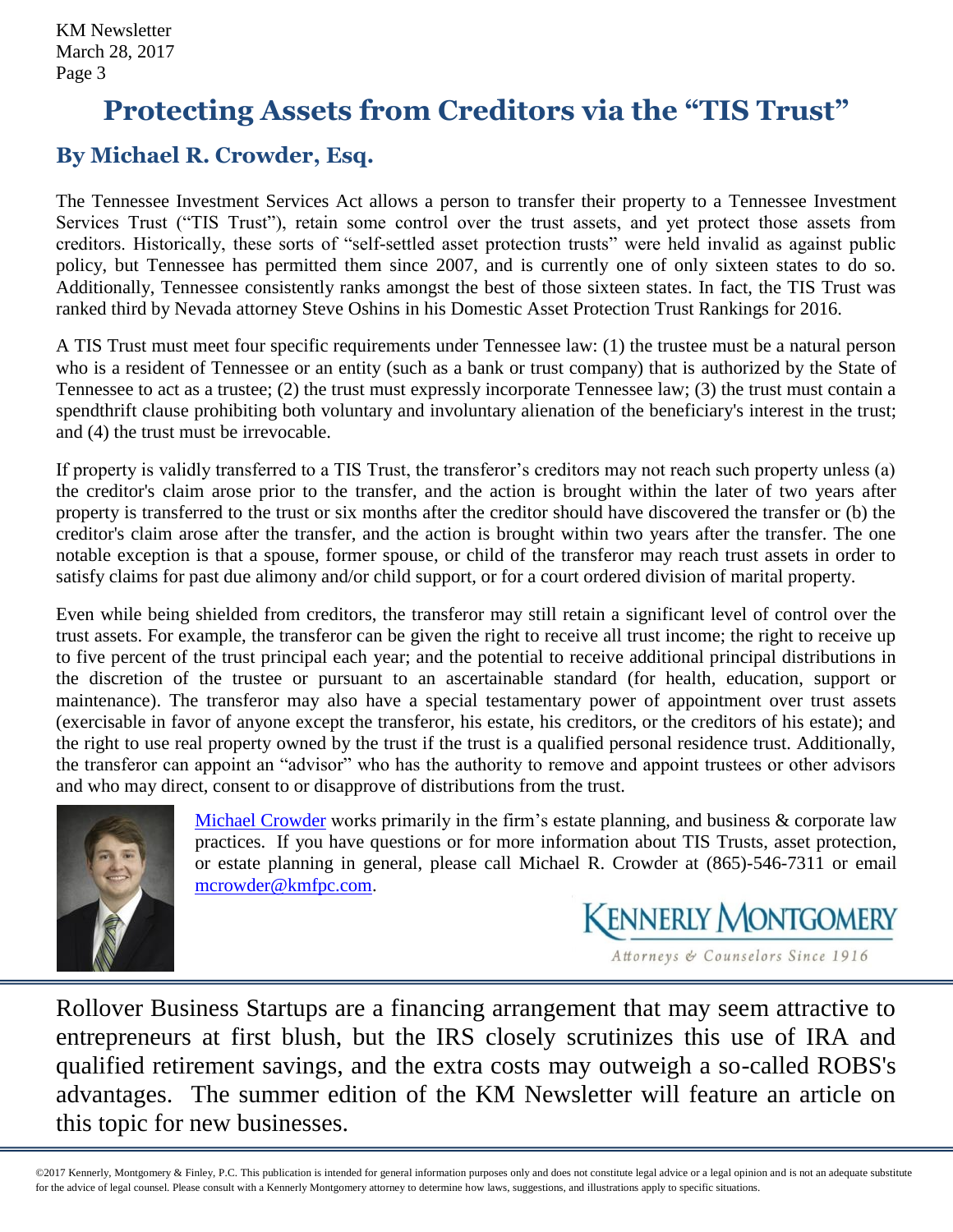## <span id="page-2-0"></span>**Protecting Assets from Creditors via the "TIS Trust"**

### **By Michael R. Crowder, Esq.**

The Tennessee Investment Services Act allows a person to transfer their property to a Tennessee Investment Services Trust ("TIS Trust"), retain some control over the trust assets, and yet protect those assets from creditors. Historically, these sorts of "self-settled asset protection trusts" were held invalid as against public policy, but Tennessee has permitted them since 2007, and is currently one of only sixteen states to do so. Additionally, Tennessee consistently ranks amongst the best of those sixteen states. In fact, the TIS Trust was ranked third by Nevada attorney Steve Oshins in his Domestic Asset Protection Trust Rankings for 2016.

A TIS Trust must meet four specific requirements under Tennessee law: (1) the trustee must be a natural person who is a resident of Tennessee or an entity (such as a bank or trust company) that is authorized by the State of Tennessee to act as a trustee; (2) the trust must expressly incorporate Tennessee law; (3) the trust must contain a spendthrift clause prohibiting both voluntary and involuntary alienation of the beneficiary's interest in the trust; and (4) the trust must be irrevocable.

If property is validly transferred to a TIS Trust, the transferor's creditors may not reach such property unless (a) the creditor's claim arose prior to the transfer, and the action is brought within the later of two years after property is transferred to the trust or six months after the creditor should have discovered the transfer or (b) the creditor's claim arose after the transfer, and the action is brought within two years after the transfer. The one notable exception is that a spouse, former spouse, or child of the transferor may reach trust assets in order to satisfy claims for past due alimony and/or child support, or for a court ordered division of marital property.

Even while being shielded from creditors, the transferor may still retain a significant level of control over the trust assets. For example, the transferor can be given the right to receive all trust income; the right to receive up to five percent of the trust principal each year; and the potential to receive additional principal distributions in the discretion of the trustee or pursuant to an ascertainable standard (for health, education, support or maintenance). The transferor may also have a special testamentary power of appointment over trust assets (exercisable in favor of anyone except the transferor, his estate, his creditors, or the creditors of his estate); and the right to use real property owned by the trust if the trust is a qualified personal residence trust. Additionally, the transferor can appoint an "advisor" who has the authority to remove and appoint trustees or other advisors and who may direct, consent to or disapprove of distributions from the trust.



[Michael Crowder](http://www.kmfpc.com/attorneys/michael_r_crowder.aspx) works primarily in the firm's estate planning, and business & corporate law practices. If you have questions or for more information about TIS Trusts, asset protection, or estate planning in general, please call Michael R. Crowder at (865)-546-7311 or email [mcrowder@kmfpc.com.](mailto:mcrowder@kmfpc.com)

**KENNERLY MONTGOMERY** 

Attorneys & Counselors Since 1916

Rollover Business Startups are a financing arrangement that may seem attractive to entrepreneurs at first blush, but the IRS closely scrutinizes this use of IRA and qualified retirement savings, and the extra costs may outweigh a so-called ROBS's advantages. The summer edition of the KM Newsletter will feature an article on this topic for new businesses.

©2017 Kennerly, Montgomery & Finley, P.C. This publication is intended for general information purposes only and does not constitute legal advice or a legal opinion and is not an adequate substitute for the advice of legal counsel. Please consult with a Kennerly Montgomery attorney to determine how laws, suggestions, and illustrations apply to specific situations.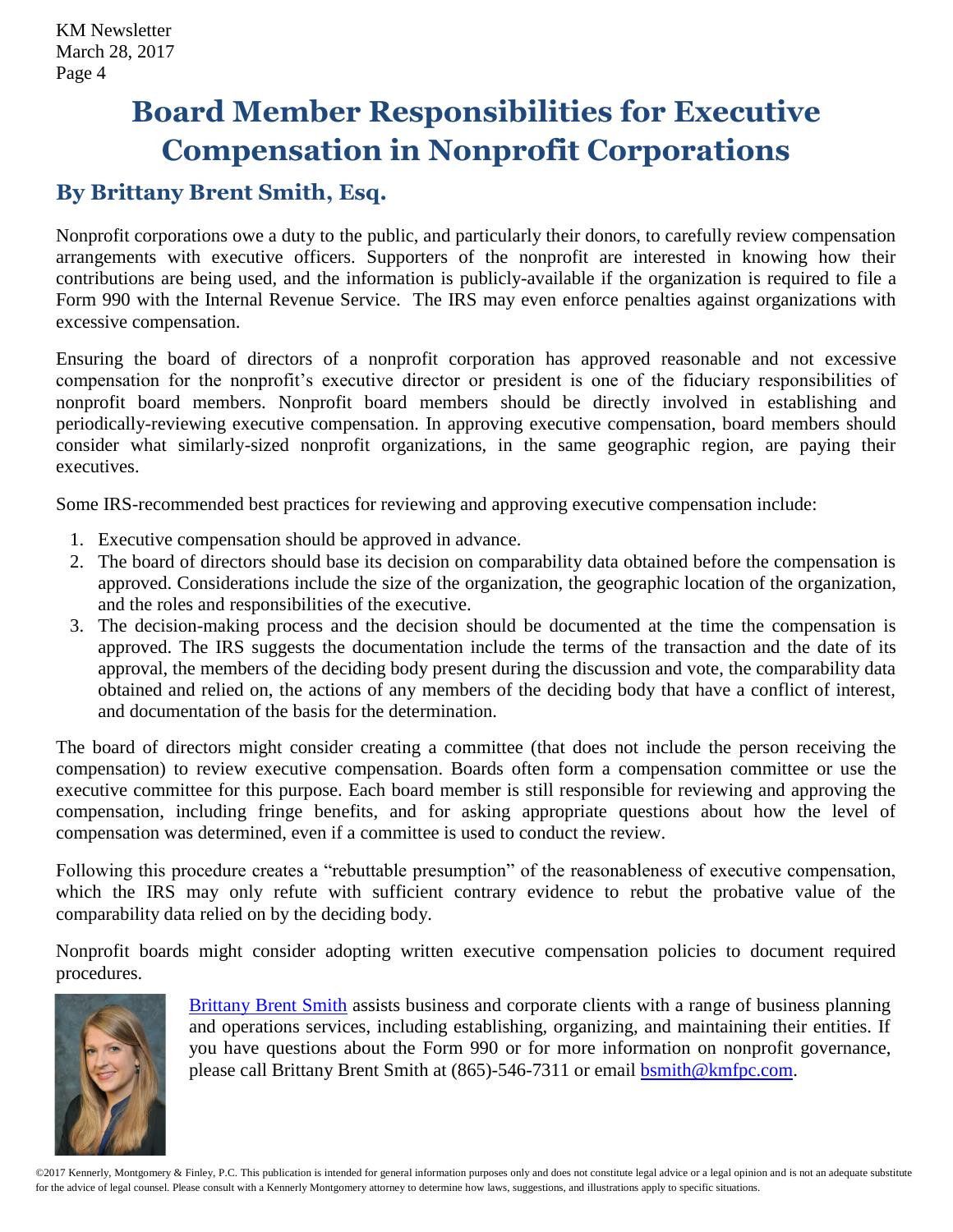## <span id="page-3-0"></span>**Board Member Responsibilities for Executive Compensation in Nonprofit Corporations**

#### **By Brittany Brent Smith, Esq.**

Nonprofit corporations owe a duty to the public, and particularly their donors, to carefully review compensation arrangements with executive officers. Supporters of the nonprofit are interested in knowing how their contributions are being used, and the information is publicly-available if the organization is required to file a Form 990 with the Internal Revenue Service. The IRS may even enforce penalties against organizations with excessive compensation.

Ensuring the board of directors of a nonprofit corporation has approved reasonable and not excessive compensation for the nonprofit's executive director or president is one of the fiduciary responsibilities of nonprofit board members. Nonprofit board members should be directly involved in establishing and periodically-reviewing executive compensation. In approving executive compensation, board members should consider what similarly-sized nonprofit organizations, in the same geographic region, are paying their executives.

Some IRS-recommended best practices for reviewing and approving executive compensation include:

- 1. Executive compensation should be approved in advance.
- 2. The board of directors should base its decision on comparability data obtained before the compensation is approved. Considerations include the size of the organization, the geographic location of the organization, and the roles and responsibilities of the executive.
- 3. The decision-making process and the decision should be documented at the time the compensation is approved. The IRS suggests the documentation include the terms of the transaction and the date of its approval, the members of the deciding body present during the discussion and vote, the comparability data obtained and relied on, the actions of any members of the deciding body that have a conflict of interest, and documentation of the basis for the determination.

The board of directors might consider creating a committee (that does not include the person receiving the compensation) to review executive compensation. Boards often form a compensation committee or use the executive committee for this purpose. Each board member is still responsible for reviewing and approving the compensation, including fringe benefits, and for asking appropriate questions about how the level of compensation was determined, even if a committee is used to conduct the review.

Following this procedure creates a "rebuttable presumption" of the reasonableness of executive compensation, which the IRS may only refute with sufficient contrary evidence to rebut the probative value of the comparability data relied on by the deciding body.

Nonprofit boards might consider adopting written executive compensation policies to document required procedures.



[Brittany Brent Smith](http://www.kmfpc.com/attorneys/brittany_brent_smith.aspx) assists business and corporate clients with a range of business planning and operations services, including establishing, organizing, and maintaining their entities. If you have questions about the Form 990 or for more information on nonprofit governance, please call Brittany Brent Smith at (865)-546-7311 or email [bsmith@kmfpc.com.](mailto:bsmith@kmfpc.com)